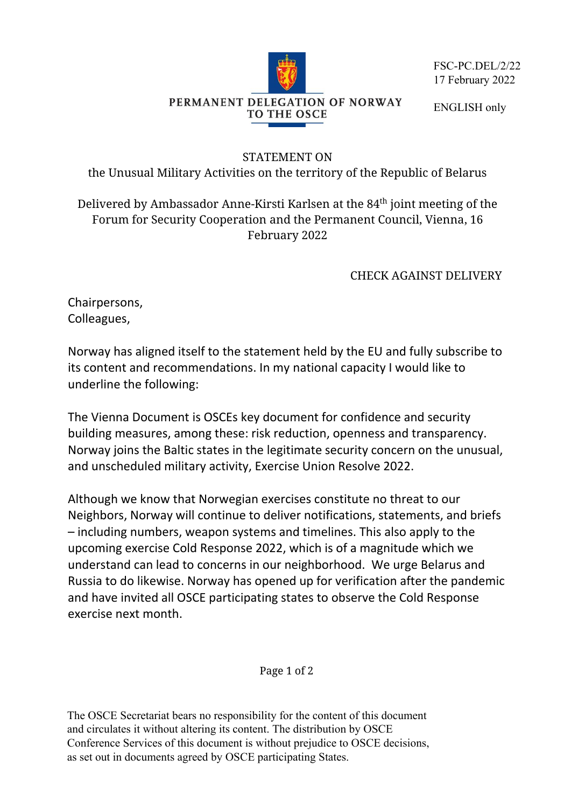

FSC-PC.DEL/2/22 17 February 2022

ENGLISH only

## STATEMENT ON

the Unusual Military Activities on the territory of the Republic of Belarus

Delivered by Ambassador Anne-Kirsti Karlsen at the 84<sup>th</sup> joint meeting of the Forum for Security Cooperation and the Permanent Council, Vienna, 16 February 2022

CHECK AGAINST DELIVERY

Chairpersons, Colleagues,

Norway has aligned itself to the statement held by the EU and fully subscribe to its content and recommendations. In my national capacity I would like to underline the following:

The Vienna Document is OSCEs key document for confidence and security building measures, among these: risk reduction, openness and transparency. Norway joins the Baltic states in the legitimate security concern on the unusual, and unscheduled military activity, Exercise Union Resolve 2022.

Although we know that Norwegian exercises constitute no threat to our Neighbors, Norway will continue to deliver notifications, statements, and briefs – including numbers, weapon systems and timelines. This also apply to the upcoming exercise Cold Response 2022, which is of a magnitude which we understand can lead to concerns in our neighborhood. We urge Belarus and Russia to do likewise. Norway has opened up for verification after the pandemic and have invited all OSCE participating states to observe the Cold Response exercise next month.

Page 1 of 2

The OSCE Secretariat bears no responsibility for the content of this document and circulates it without altering its content. The distribution by OSCE Conference Services of this document is without prejudice to OSCE decisions, as set out in documents agreed by OSCE participating States.